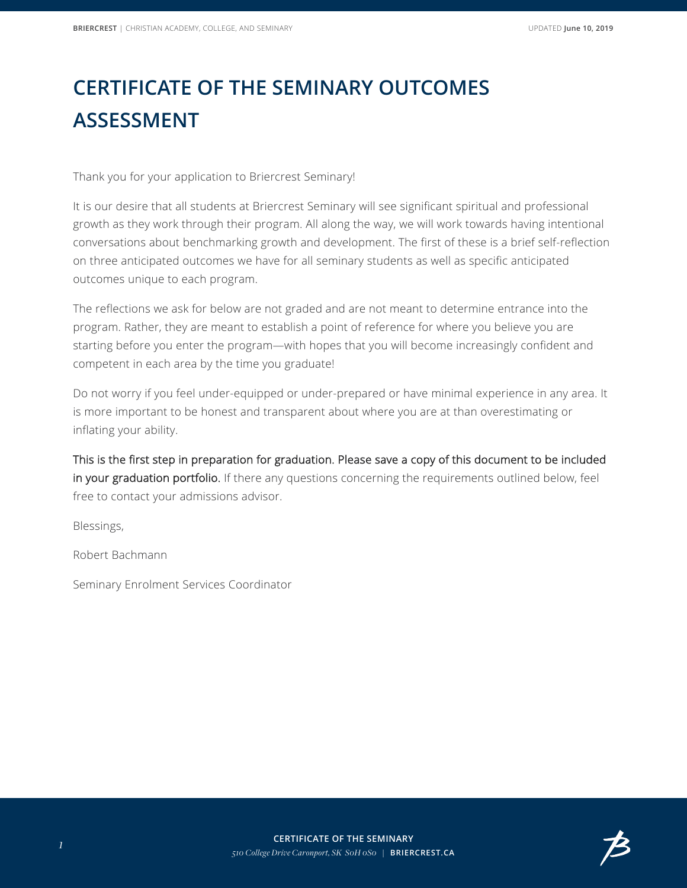## **CERTIFICATE OF THE SEMINARY OUTCOMES ASSESSMENT**

Thank you for your application to Briercrest Seminary!

It is our desire that all students at Briercrest Seminary will see significant spiritual and professional growth as they work through their program. All along the way, we will work towards having intentional conversations about benchmarking growth and development. The first of these is a brief self-reflection on three anticipated outcomes we have for all seminary students as well as specific anticipated outcomes unique to each program.

The reflections we ask for below are not graded and are not meant to determine entrance into the program. Rather, they are meant to establish a point of reference for where you believe you are starting before you enter the program—with hopes that you will become increasingly confident and competent in each area by the time you graduate!

Do not worry if you feel under-equipped or under-prepared or have minimal experience in any area. It is more important to be honest and transparent about where you are at than overestimating or inflating your ability.

This is the first step in preparation for graduation. Please save a copy of this document to be included in your graduation portfolio. If there any questions concerning the requirements outlined below, feel free to contact your admissions advisor.

Blessings,

Robert Bachmann

Seminary Enrolment Services Coordinator